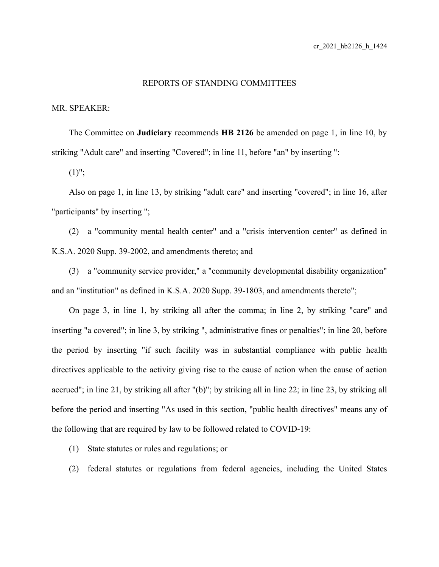## REPORTS OF STANDING COMMITTEES

## MR. SPEAKER:

The Committee on **Judiciary** recommends **HB 2126** be amended on page 1, in line 10, by striking "Adult care" and inserting "Covered"; in line 11, before "an" by inserting ":

 $(1)$ ";

Also on page 1, in line 13, by striking "adult care" and inserting "covered"; in line 16, after "participants" by inserting ";

(2) a "community mental health center" and a "crisis intervention center" as defined in K.S.A. 2020 Supp. 39-2002, and amendments thereto; and

(3) a "community service provider," a "community developmental disability organization" and an "institution" as defined in K.S.A. 2020 Supp. 39-1803, and amendments thereto";

On page 3, in line 1, by striking all after the comma; in line 2, by striking "care" and inserting "a covered"; in line 3, by striking ", administrative fines or penalties"; in line 20, before the period by inserting "if such facility was in substantial compliance with public health directives applicable to the activity giving rise to the cause of action when the cause of action accrued"; in line 21, by striking all after "(b)"; by striking all in line 22; in line 23, by striking all before the period and inserting "As used in this section, "public health directives" means any of the following that are required by law to be followed related to COVID-19:

(1) State statutes or rules and regulations; or

(2) federal statutes or regulations from federal agencies, including the United States